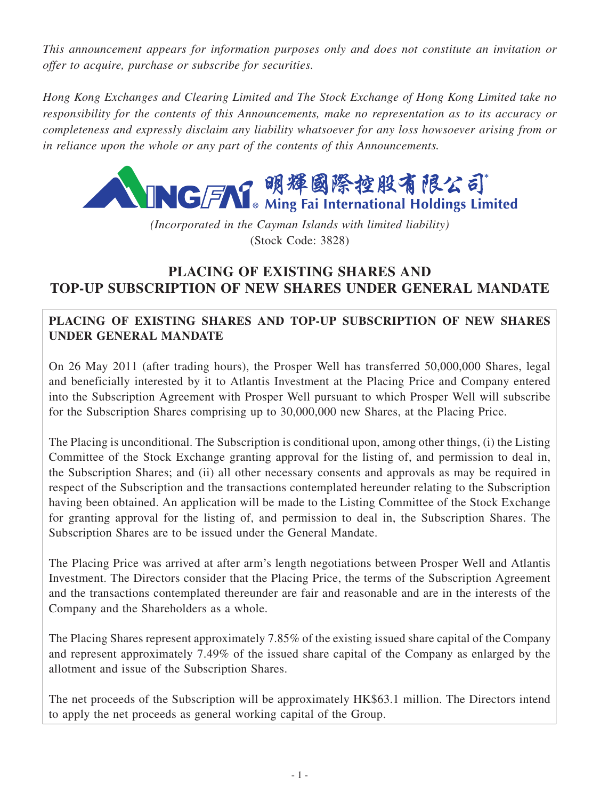*This announcement appears for information purposes only and does not constitute an invitation or offer to acquire, purchase or subscribe for securities.*

*Hong Kong Exchanges and Clearing Limited and The Stock Exchange of Hong Kong Limited take no responsibility for the contents of this Announcements, make no representation as to its accuracy or completeness and expressly disclaim any liability whatsoever for any loss howsoever arising from or in reliance upon the whole or any part of the contents of this Announcements.*



*(Incorporated in the Cayman Islands with limited liability)* (Stock Code: 3828)

# **PLACING OF EXISTING SHARES AND TOP-UP SUBSCRIPTION OF NEW SHARES UNDER GENERAL MANDATE**

# **PLACING OF EXISTING SHARES AND TOP-UP SUBSCRIPTION OF NEW SHARES UNDER GENERAL MANDATE**

On 26 May 2011 (after trading hours), the Prosper Well has transferred 50,000,000 Shares, legal and beneficially interested by it to Atlantis Investment at the Placing Price and Company entered into the Subscription Agreement with Prosper Well pursuant to which Prosper Well will subscribe for the Subscription Shares comprising up to 30,000,000 new Shares, at the Placing Price.

The Placing is unconditional. The Subscription is conditional upon, among other things, (i) the Listing Committee of the Stock Exchange granting approval for the listing of, and permission to deal in, the Subscription Shares; and (ii) all other necessary consents and approvals as may be required in respect of the Subscription and the transactions contemplated hereunder relating to the Subscription having been obtained. An application will be made to the Listing Committee of the Stock Exchange for granting approval for the listing of, and permission to deal in, the Subscription Shares. The Subscription Shares are to be issued under the General Mandate.

The Placing Price was arrived at after arm's length negotiations between Prosper Well and Atlantis Investment. The Directors consider that the Placing Price, the terms of the Subscription Agreement and the transactions contemplated thereunder are fair and reasonable and are in the interests of the Company and the Shareholders as a whole.

The Placing Shares represent approximately 7.85% of the existing issued share capital of the Company and represent approximately 7.49% of the issued share capital of the Company as enlarged by the allotment and issue of the Subscription Shares.

The net proceeds of the Subscription will be approximately HK\$63.1 million. The Directors intend to apply the net proceeds as general working capital of the Group.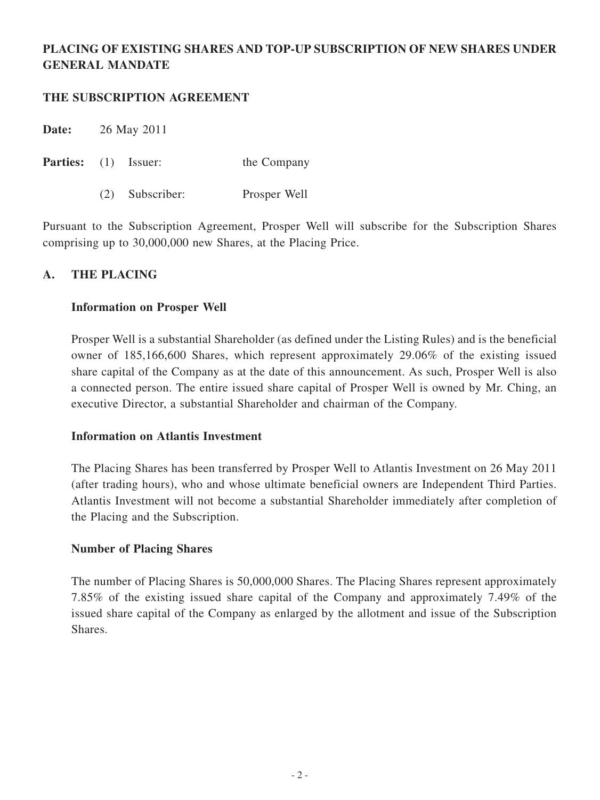# **PLACING OF EXISTING SHARES AND TOP-UP SUBSCRIPTION OF NEW SHARES UNDER GENERAL MANDATE**

#### **THE SUBSCRIPTION AGREEMENT**

**Date:** 26 May 2011

**Parties:** (1) Issuer: the Company

(2) Subscriber: Prosper Well

Pursuant to the Subscription Agreement, Prosper Well will subscribe for the Subscription Shares comprising up to 30,000,000 new Shares, at the Placing Price.

## **A. THE PLACING**

#### **Information on Prosper Well**

Prosper Well is a substantial Shareholder (as defined under the Listing Rules) and is the beneficial owner of 185,166,600 Shares, which represent approximately 29.06% of the existing issued share capital of the Company as at the date of this announcement. As such, Prosper Well is also a connected person. The entire issued share capital of Prosper Well is owned by Mr. Ching, an executive Director, a substantial Shareholder and chairman of the Company.

#### **Information on Atlantis Investment**

The Placing Shares has been transferred by Prosper Well to Atlantis Investment on 26 May 2011 (after trading hours), who and whose ultimate beneficial owners are Independent Third Parties. Atlantis Investment will not become a substantial Shareholder immediately after completion of the Placing and the Subscription.

#### **Number of Placing Shares**

The number of Placing Shares is 50,000,000 Shares. The Placing Shares represent approximately 7.85% of the existing issued share capital of the Company and approximately 7.49% of the issued share capital of the Company as enlarged by the allotment and issue of the Subscription Shares.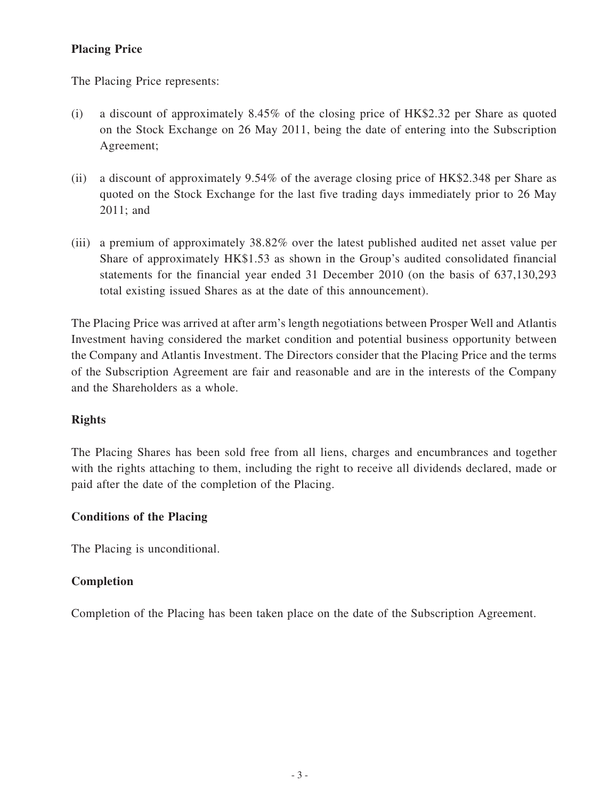# **Placing Price**

The Placing Price represents:

- (i) a discount of approximately 8.45% of the closing price of HK\$2.32 per Share as quoted on the Stock Exchange on 26 May 2011, being the date of entering into the Subscription Agreement;
- (ii) a discount of approximately 9.54% of the average closing price of HK\$2.348 per Share as quoted on the Stock Exchange for the last five trading days immediately prior to 26 May 2011; and
- (iii) a premium of approximately 38.82% over the latest published audited net asset value per Share of approximately HK\$1.53 as shown in the Group's audited consolidated financial statements for the financial year ended 31 December 2010 (on the basis of 637,130,293 total existing issued Shares as at the date of this announcement).

The Placing Price was arrived at after arm's length negotiations between Prosper Well and Atlantis Investment having considered the market condition and potential business opportunity between the Company and Atlantis Investment. The Directors consider that the Placing Price and the terms of the Subscription Agreement are fair and reasonable and are in the interests of the Company and the Shareholders as a whole.

## **Rights**

The Placing Shares has been sold free from all liens, charges and encumbrances and together with the rights attaching to them, including the right to receive all dividends declared, made or paid after the date of the completion of the Placing.

## **Conditions of the Placing**

The Placing is unconditional.

#### **Completion**

Completion of the Placing has been taken place on the date of the Subscription Agreement.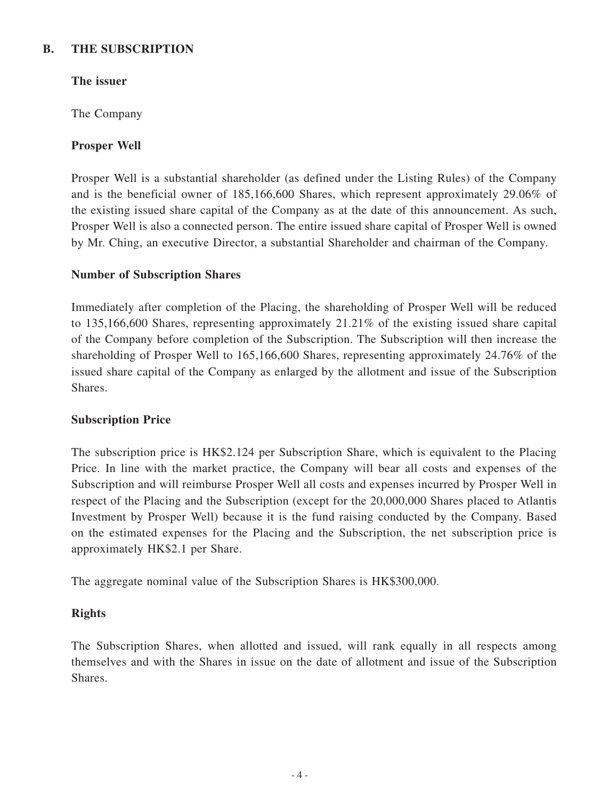#### **B. THE SUBSCRIPTION**

## **The issuer**

The Company

#### **Prosper Well**

Prosper Well is a substantial shareholder (as defined under the Listing Rules) of the Company and is the beneficial owner of 185,166,600 Shares, which represent approximately 29.06% of the existing issued share capital of the Company as at the date of this announcement. As such, Prosper Well is also a connected person. The entire issued share capital of Prosper Well is owned by Mr. Ching, an executive Director, a substantial Shareholder and chairman of the Company.

#### **Number of Subscription Shares**

Immediately after completion of the Placing, the shareholding of Prosper Well will be reduced to 135,166,600 Shares, representing approximately 21.21% of the existing issued share capital of the Company before completion of the Subscription. The Subscription will then increase the shareholding of Prosper Well to 165,166,600 Shares, representing approximately 24.76% of the issued share capital of the Company as enlarged by the allotment and issue of the Subscription Shares.

#### **Subscription Price**

The subscription price is HK\$2.124 per Subscription Share, which is equivalent to the Placing Price. In line with the market practice, the Company will bear all costs and expenses of the Subscription and will reimburse Prosper Well all costs and expenses incurred by Prosper Well in respect of the Placing and the Subscription (except for the 20,000,000 Shares placed to Atlantis Investment by Prosper Well) because it is the fund raising conducted by the Company. Based on the estimated expenses for the Placing and the Subscription, the net subscription price is approximately HK\$2.1 per Share.

The aggregate nominal value of the Subscription Shares is HK\$300,000.

## **Rights**

The Subscription Shares, when allotted and issued, will rank equally in all respects among themselves and with the Shares in issue on the date of allotment and issue of the Subscription Shares.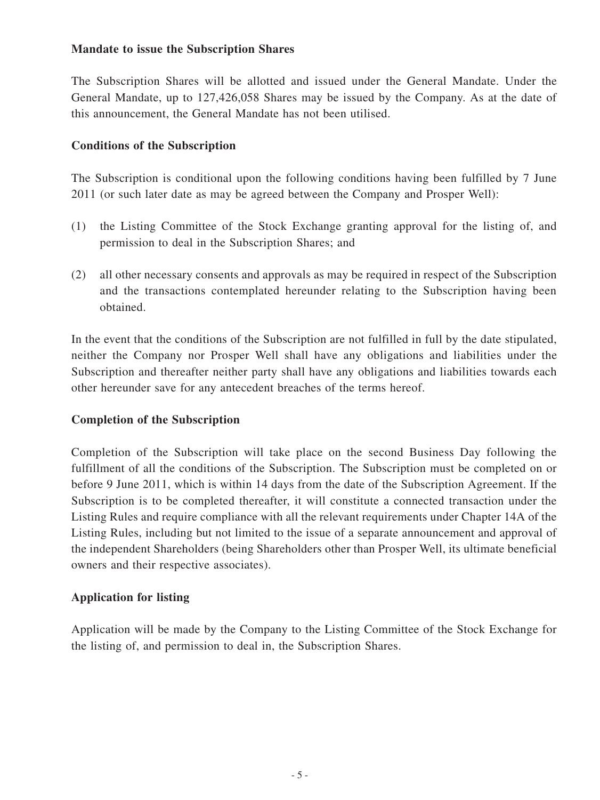## **Mandate to issue the Subscription Shares**

The Subscription Shares will be allotted and issued under the General Mandate. Under the General Mandate, up to 127,426,058 Shares may be issued by the Company. As at the date of this announcement, the General Mandate has not been utilised.

#### **Conditions of the Subscription**

The Subscription is conditional upon the following conditions having been fulfilled by 7 June 2011 (or such later date as may be agreed between the Company and Prosper Well):

- (1) the Listing Committee of the Stock Exchange granting approval for the listing of, and permission to deal in the Subscription Shares; and
- (2) all other necessary consents and approvals as may be required in respect of the Subscription and the transactions contemplated hereunder relating to the Subscription having been obtained.

In the event that the conditions of the Subscription are not fulfilled in full by the date stipulated, neither the Company nor Prosper Well shall have any obligations and liabilities under the Subscription and thereafter neither party shall have any obligations and liabilities towards each other hereunder save for any antecedent breaches of the terms hereof.

#### **Completion of the Subscription**

Completion of the Subscription will take place on the second Business Day following the fulfillment of all the conditions of the Subscription. The Subscription must be completed on or before 9 June 2011, which is within 14 days from the date of the Subscription Agreement. If the Subscription is to be completed thereafter, it will constitute a connected transaction under the Listing Rules and require compliance with all the relevant requirements under Chapter 14A of the Listing Rules, including but not limited to the issue of a separate announcement and approval of the independent Shareholders (being Shareholders other than Prosper Well, its ultimate beneficial owners and their respective associates).

## **Application for listing**

Application will be made by the Company to the Listing Committee of the Stock Exchange for the listing of, and permission to deal in, the Subscription Shares.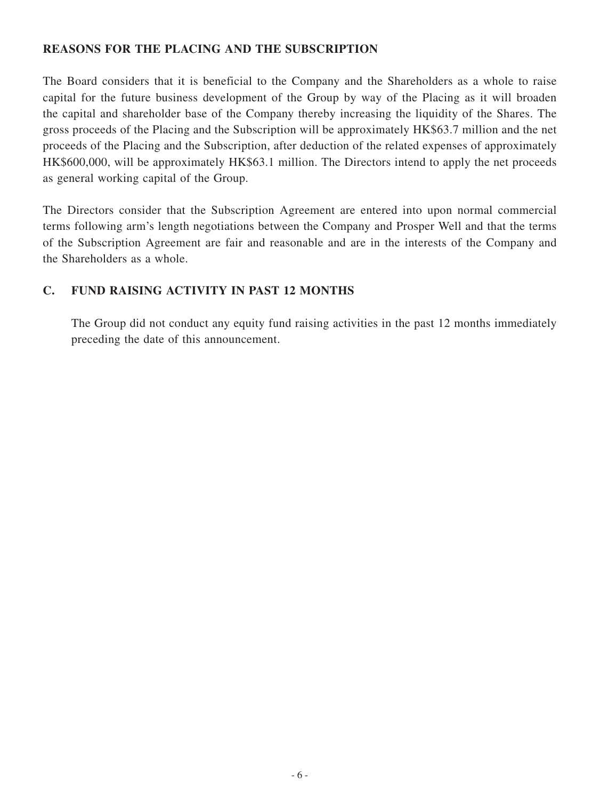### **REASONS FOR THE PLACING AND THE SUBSCRIPTION**

The Board considers that it is beneficial to the Company and the Shareholders as a whole to raise capital for the future business development of the Group by way of the Placing as it will broaden the capital and shareholder base of the Company thereby increasing the liquidity of the Shares. The gross proceeds of the Placing and the Subscription will be approximately HK\$63.7 million and the net proceeds of the Placing and the Subscription, after deduction of the related expenses of approximately HK\$600,000, will be approximately HK\$63.1 million. The Directors intend to apply the net proceeds as general working capital of the Group.

The Directors consider that the Subscription Agreement are entered into upon normal commercial terms following arm's length negotiations between the Company and Prosper Well and that the terms of the Subscription Agreement are fair and reasonable and are in the interests of the Company and the Shareholders as a whole.

## **C. FUND RAISING ACTIVITY IN PAST 12 MONTHS**

The Group did not conduct any equity fund raising activities in the past 12 months immediately preceding the date of this announcement.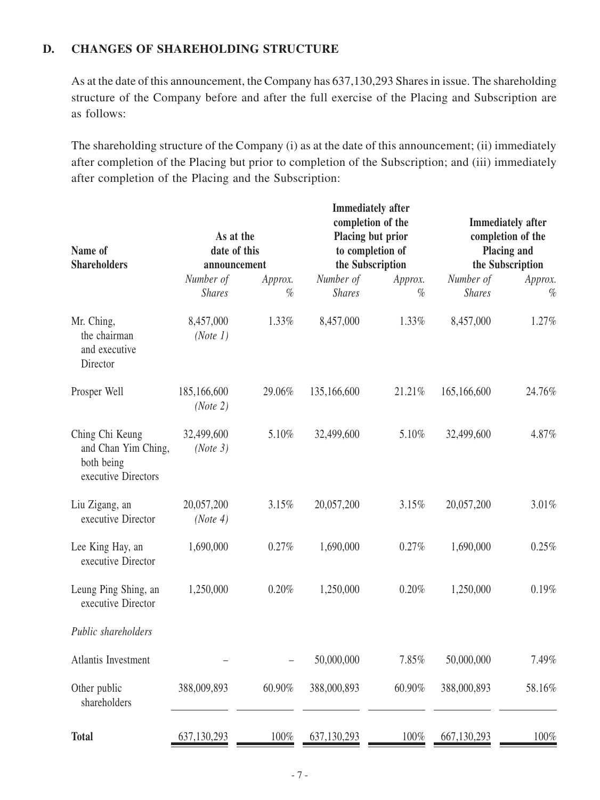## **D. CHANGES OF SHAREHOLDING STRUCTURE**

As at the date of this announcement, the Company has 637,130,293 Shares in issue. The shareholding structure of the Company before and after the full exercise of the Placing and Subscription are as follows:

The shareholding structure of the Company (i) as at the date of this announcement; (ii) immediately after completion of the Placing but prior to completion of the Subscription; and (iii) immediately after completion of the Placing and the Subscription:

| Name of<br><b>Shareholders</b>                                              | As at the<br>date of this<br>announcement |                 | <b>Immediately</b> after<br>completion of the<br>Placing but prior<br>to completion of<br>the Subscription |                 | <b>Immediately</b> after<br>completion of the<br>Placing and<br>the Subscription |                 |
|-----------------------------------------------------------------------------|-------------------------------------------|-----------------|------------------------------------------------------------------------------------------------------------|-----------------|----------------------------------------------------------------------------------|-----------------|
|                                                                             | Number of<br><b>Shares</b>                | Approx.<br>$\%$ | Number of<br><b>Shares</b>                                                                                 | Approx.<br>$\%$ | Number of<br><b>Shares</b>                                                       | Approx.<br>$\%$ |
| Mr. Ching,<br>the chairman<br>and executive<br>Director                     | 8,457,000<br>(Note 1)                     | 1.33%           | 8,457,000                                                                                                  | 1.33%           | 8,457,000                                                                        | 1.27%           |
| Prosper Well                                                                | 185,166,600<br>(Note 2)                   | 29.06%          | 135,166,600                                                                                                | 21.21%          | 165,166,600                                                                      | 24.76%          |
| Ching Chi Keung<br>and Chan Yim Ching,<br>both being<br>executive Directors | 32,499,600<br>(Note 3)                    | 5.10%           | 32,499,600                                                                                                 | 5.10%           | 32,499,600                                                                       | 4.87%           |
| Liu Zigang, an<br>executive Director                                        | 20,057,200<br>(Note 4)                    | 3.15%           | 20,057,200                                                                                                 | 3.15%           | 20,057,200                                                                       | 3.01%           |
| Lee King Hay, an<br>executive Director                                      | 1,690,000                                 | 0.27%           | 1,690,000                                                                                                  | 0.27%           | 1,690,000                                                                        | 0.25%           |
| Leung Ping Shing, an<br>executive Director                                  | 1,250,000                                 | 0.20%           | 1,250,000                                                                                                  | 0.20%           | 1,250,000                                                                        | 0.19%           |
| Public shareholders                                                         |                                           |                 |                                                                                                            |                 |                                                                                  |                 |
| Atlantis Investment                                                         |                                           |                 | 50,000,000                                                                                                 | 7.85%           | 50,000,000                                                                       | 7.49%           |
| Other public<br>shareholders                                                | 388,009,893                               | 60.90%          | 388,000,893                                                                                                | 60.90%          | 388,000,893                                                                      | 58.16%          |
| <b>Total</b>                                                                | 637, 130, 293                             | $100\%$         | 637,130,293                                                                                                | 100%            | 667, 130, 293                                                                    | 100%            |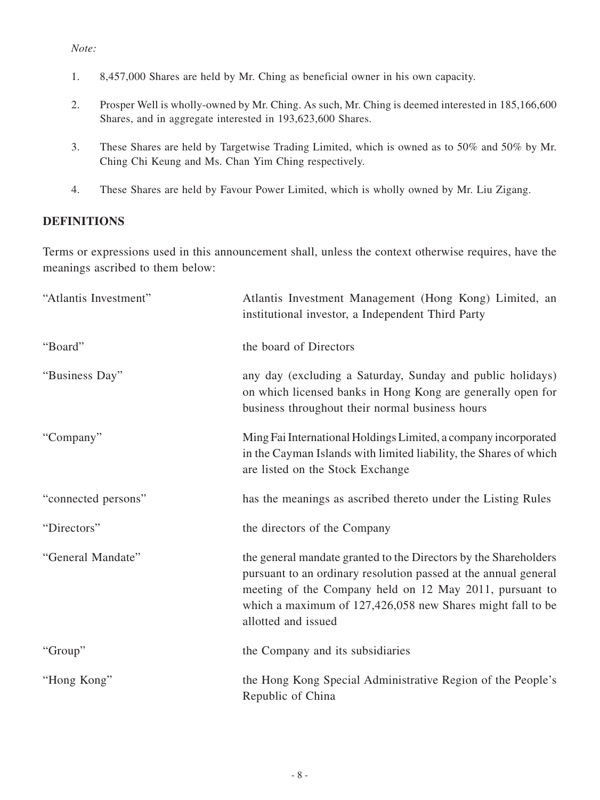#### *Note:*

- 1. 8,457,000 Shares are held by Mr. Ching as beneficial owner in his own capacity.
- 2. Prosper Well is wholly-owned by Mr. Ching. As such, Mr. Ching is deemed interested in 185,166,600 Shares, and in aggregate interested in 193,623,600 Shares.
- 3. These Shares are held by Targetwise Trading Limited, which is owned as to 50% and 50% by Mr. Ching Chi Keung and Ms. Chan Yim Ching respectively.
- 4. These Shares are held by Favour Power Limited, which is wholly owned by Mr. Liu Zigang.

#### **DEFINITIONS**

Terms or expressions used in this announcement shall, unless the context otherwise requires, have the meanings ascribed to them below:

| "Atlantis Investment" | Atlantis Investment Management (Hong Kong) Limited, an<br>institutional investor, a Independent Third Party                                                                                                                                                                         |
|-----------------------|-------------------------------------------------------------------------------------------------------------------------------------------------------------------------------------------------------------------------------------------------------------------------------------|
| "Board"               | the board of Directors                                                                                                                                                                                                                                                              |
| "Business Day"        | any day (excluding a Saturday, Sunday and public holidays)<br>on which licensed banks in Hong Kong are generally open for<br>business throughout their normal business hours                                                                                                        |
| "Company"             | Ming Fai International Holdings Limited, a company incorporated<br>in the Cayman Islands with limited liability, the Shares of which<br>are listed on the Stock Exchange                                                                                                            |
| "connected persons"   | has the meanings as ascribed thereto under the Listing Rules                                                                                                                                                                                                                        |
| "Directors"           | the directors of the Company                                                                                                                                                                                                                                                        |
| "General Mandate"     | the general mandate granted to the Directors by the Shareholders<br>pursuant to an ordinary resolution passed at the annual general<br>meeting of the Company held on 12 May 2011, pursuant to<br>which a maximum of 127,426,058 new Shares might fall to be<br>allotted and issued |
| "Group"               | the Company and its subsidiaries                                                                                                                                                                                                                                                    |
| "Hong Kong"           | the Hong Kong Special Administrative Region of the People's<br>Republic of China                                                                                                                                                                                                    |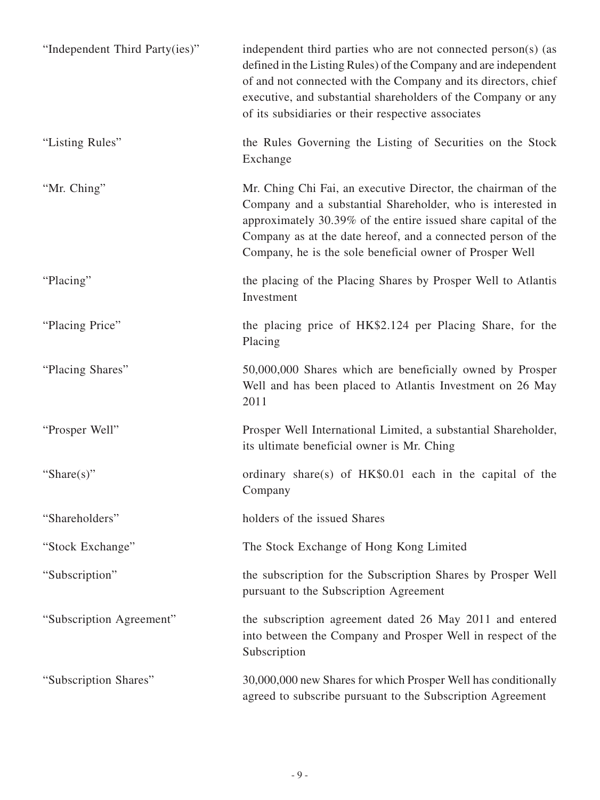| "Independent Third Party(ies)" | independent third parties who are not connected person(s) (as<br>defined in the Listing Rules) of the Company and are independent<br>of and not connected with the Company and its directors, chief<br>executive, and substantial shareholders of the Company or any<br>of its subsidiaries or their respective associates |
|--------------------------------|----------------------------------------------------------------------------------------------------------------------------------------------------------------------------------------------------------------------------------------------------------------------------------------------------------------------------|
| "Listing Rules"                | the Rules Governing the Listing of Securities on the Stock<br>Exchange                                                                                                                                                                                                                                                     |
| "Mr. Ching"                    | Mr. Ching Chi Fai, an executive Director, the chairman of the<br>Company and a substantial Shareholder, who is interested in<br>approximately 30.39% of the entire issued share capital of the<br>Company as at the date hereof, and a connected person of the<br>Company, he is the sole beneficial owner of Prosper Well |
| "Placing"                      | the placing of the Placing Shares by Prosper Well to Atlantis<br>Investment                                                                                                                                                                                                                                                |
| "Placing Price"                | the placing price of HK\$2.124 per Placing Share, for the<br>Placing                                                                                                                                                                                                                                                       |
| "Placing Shares"               | 50,000,000 Shares which are beneficially owned by Prosper<br>Well and has been placed to Atlantis Investment on 26 May<br>2011                                                                                                                                                                                             |
| "Prosper Well"                 | Prosper Well International Limited, a substantial Shareholder,<br>its ultimate beneficial owner is Mr. Ching                                                                                                                                                                                                               |
| "Share $(s)$ "                 | ordinary share(s) of $HK$0.01$ each in the capital of the<br>Company                                                                                                                                                                                                                                                       |
| "Shareholders"                 | holders of the issued Shares                                                                                                                                                                                                                                                                                               |
| "Stock Exchange"               | The Stock Exchange of Hong Kong Limited                                                                                                                                                                                                                                                                                    |
| "Subscription"                 | the subscription for the Subscription Shares by Prosper Well<br>pursuant to the Subscription Agreement                                                                                                                                                                                                                     |
| "Subscription Agreement"       | the subscription agreement dated 26 May 2011 and entered<br>into between the Company and Prosper Well in respect of the<br>Subscription                                                                                                                                                                                    |
| "Subscription Shares"          | 30,000,000 new Shares for which Prosper Well has conditionally<br>agreed to subscribe pursuant to the Subscription Agreement                                                                                                                                                                                               |